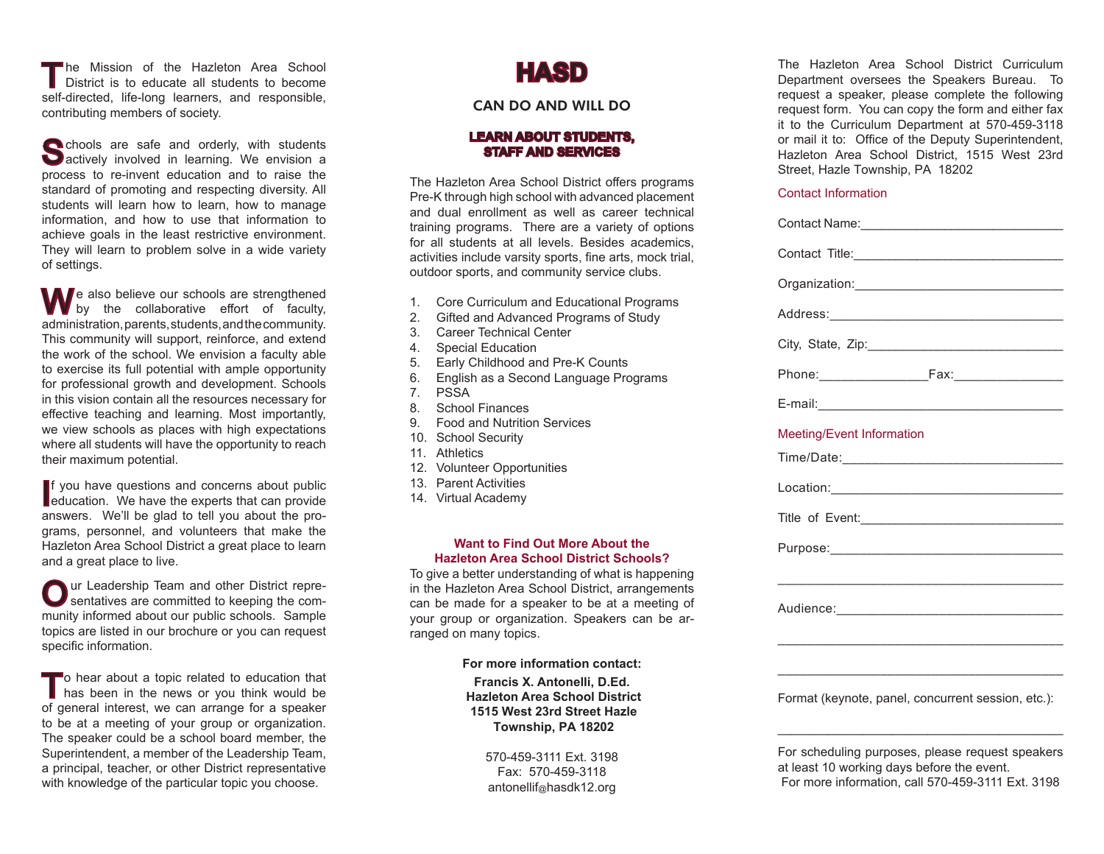The Mission of the Hazleton Area School<br>District is to educate all students to become self-directed, life-long learners, and responsible, contributing members of society.

Schools are safe and orderly, with students<br>Sactively involved in learning. We envision a process to re-invent education and to raise the standard of promoting and respecting diversity. All students will learn how to learn, how to manage information, and how to use that information to achieve goals in the least restrictive environment. They will learn to problem solve in a wide variety of settings.

We also believe our schools are strengthened by the collaborative effort of faculty, administration, parents, students, and the community. This community will support, reinforce, and extend the work of the school. We envision a faculty able to exercise its full potential with ample opportunity for professional growth and development. Schools in this vision contain all the resources necessary for effective teaching and learning. Most importantly, we view schools as places with high expectations where all students will have the opportunity to reach their maximum potential.

If you have questions and concerns about public<br>education. We have the experts that can provide **f** you have questions and concerns about public answers. We'll be glad to tell you about the programs, personnel, and volunteers that make the Hazleton Area School District a great place to learn and a great place to live.

Our Leadership Team and other District repre-sentatives are committed to keeping the community informed about our public schools. Sample topics are listed in our brochure or you can request specific information.

To hear about a topic related to education that<br>has been in the news or you think would be of general interest, we can arrange for a speaker to be at a meeting of your group or organization. The speaker could be a school board member, the Superintendent, a member of the Leadership Team, a principal, teacher, or other District representative with knowledge of the particular topic you choose.

# **HASD**

## Can do and will do

### **LEARN ABOUT STUDENTS, STAFF AND SERVICES**

The Hazleton Area School District offers programs Pre-K through high school with advanced placement and dual enrollment as well as career technical training programs. There are a variety of options for all students at all levels. Besides academics, activities include varsity sports, fine arts, mock trial, outdoor sports, and community service clubs.

- 1. Core Curriculum and Educational Programs
- 2. Gifted and Advanced Programs of Study
- 3. Career Technical Center
- 4. Special Education
- 5. Early Childhood and Pre-K Counts
- 6. English as a Second Language Programs
- 7. PSSA
- 8. School Finances
- 9. Food and Nutrition Services
- 10. School Security
- 11. Athletics
- 12. Volunteer Opportunities
- 13. Parent Activities
- 14. Virtual Academy

#### **Want to Find Out More About the Hazleton Area School District Schools?**

To give a better understanding of what is happening in the Hazleton Area School District, arrangements can be made for a speaker to be at a meeting of your group or organization. Speakers can be arranged on many topics.

#### **For more information contact:**

**Francis X. Antonelli, D.Ed. Hazleton Area School District 1515 West 23rd Street Hazle Township, PA 18202**

> 570-459-3111 Ext. 3198 Fax: 570-459-3118 antonellif@hasdk12.org

The Hazleton Area School District Curriculum Department oversees the Speakers Bureau. To request a speaker, please complete the following request form. You can copy the form and either fax it to the Curriculum Department at 570-459-3118 or mail it to: Office of the Deputy Superintendent, Hazleton Area School District, 1515 West 23rd Street, Hazle Township, PA 18202

#### Contact Information

| Meeting/Event Information                                                                                            |
|----------------------------------------------------------------------------------------------------------------------|
|                                                                                                                      |
|                                                                                                                      |
| Title of Event:                                                                                                      |
|                                                                                                                      |
| <u> 1980 - Johann John Stone, market fan it ferskearre fan it ferskearre fan it ferskearre fan it ferskearre fan</u> |
|                                                                                                                      |
| <u> 1989 - Johann Barbara, margaret eta idazlea (h. 1989).</u>                                                       |
|                                                                                                                      |
| Format (keynote, panel, concurrent session, etc.):                                                                   |
| For scheduling purposes, please request speakers<br>at least 10 working days before the event.                       |

For more information, call 570-459-3111 Ext. 3198